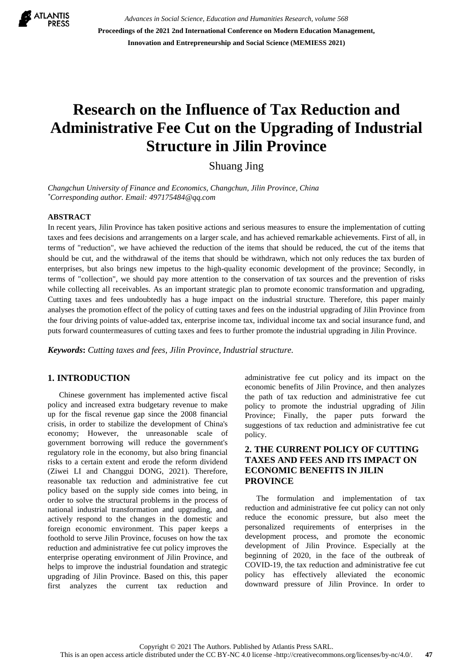

*Advances in Social Science, Education and Humanities Research, volume 568* **Proceedings of the 2021 2nd International Conference on Modern Education Management, Innovation and Entrepreneurship and Social Science (MEMIESS 2021)**

# **Research on the Influence of Tax Reduction and Administrative Fee Cut on the Upgrading of Industrial Structure in Jilin Province**

Shuang Jing

*Changchun University of Finance and Economics, Changchun, Jilin Province, China \*Corresponding author. Email: [497175484@qq.com](mailto:author@example.com)*

#### **ABSTRACT**

In recent years, Jilin Province has taken positive actions and serious measures to ensure the implementation of cutting taxes and fees decisions and arrangements on a larger scale, and has achieved remarkable achievements. First of all, in terms of "reduction", we have achieved the reduction of the items that should be reduced, the cut of the items that should be cut, and the withdrawal of the items that should be withdrawn, which not only reduces the tax burden of enterprises, but also brings new impetus to the high-quality economic development of the province; Secondly, in terms of "collection", we should pay more attention to the conservation of tax sources and the prevention of risks while collecting all receivables. As an important strategic plan to promote economic transformation and upgrading, Cutting taxes and fees undoubtedly has a huge impact on the industrial structure. Therefore, this paper mainly analyses the promotion effect of the policy of cutting taxes and fees on the industrial upgrading of Jilin Province from the four driving points of value-added tax, enterprise income tax, individual income tax and social insurance fund, and puts forward countermeasures of cutting taxes and fees to further promote the industrial upgrading in Jilin Province.

*Keywords***:** *Cutting taxes and fees, Jilin Province, Industrial structure.* 

# **1. INTRODUCTION**

Chinese government has implemented active fiscal policy and increased extra budgetary revenue to make up for the fiscal revenue gap since the 2008 financial crisis, in order to stabilize the development of China's economy; However, the unreasonable scale of government borrowing will reduce the government's regulatory role in the economy, but also bring financial risks to a certain extent and erode the reform dividend (Ziwei LI and Changgui DONG, 2021). Therefore, reasonable tax reduction and administrative fee cut policy based on the supply side comes into being, in order to solve the structural problems in the process of national industrial transformation and upgrading, and actively respond to the changes in the domestic and foreign economic environment. This paper keeps a foothold to serve Jilin Province, focuses on how the tax reduction and administrative fee cut policy improves the enterprise operating environment of Jilin Province, and helps to improve the industrial foundation and strategic upgrading of Jilin Province. Based on this, this paper first analyzes the current tax reduction and administrative fee cut policy and its impact on the economic benefits of Jilin Province, and then analyzes the path of tax reduction and administrative fee cut policy to promote the industrial upgrading of Jilin Province; Finally, the paper puts forward the suggestions of tax reduction and administrative fee cut policy.

### **2. THE CURRENT POLICY OF CUTTING TAXES AND FEES AND ITS IMPACT ON ECONOMIC BENEFITS IN JILIN PROVINCE**

The formulation and implementation of tax reduction and administrative fee cut policy can not only reduce the economic pressure, but also meet the personalized requirements of enterprises in the development process, and promote the economic development of Jilin Province. Especially at the beginning of 2020, in the face of the outbreak of COVID-19, the tax reduction and administrative fee cut policy has effectively alleviated the economic downward pressure of Jilin Province. In order to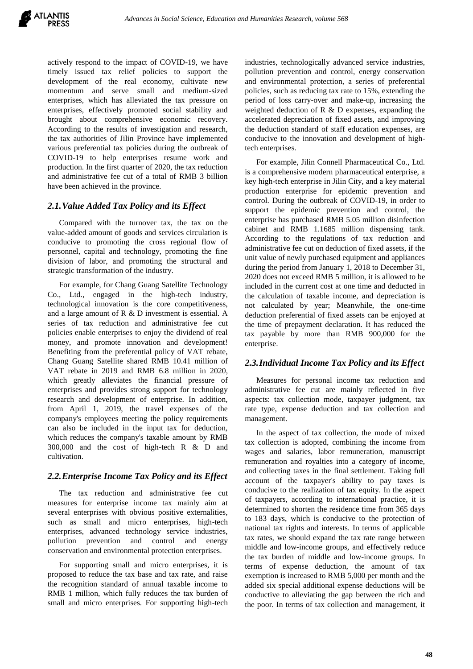actively respond to the impact of COVID-19, we have timely issued tax relief policies to support the development of the real economy, cultivate new momentum and serve small and medium-sized enterprises, which has alleviated the tax pressure on enterprises, effectively promoted social stability and brought about comprehensive economic recovery. According to the results of investigation and research, the tax authorities of Jilin Province have implemented various preferential tax policies during the outbreak of COVID-19 to help enterprises resume work and production. In the first quarter of 2020, the tax reduction and administrative fee cut of a total of RMB 3 billion have been achieved in the province.

#### *2.1.Value Added Tax Policy and its Effect*

Compared with the turnover tax, the tax on the value-added amount of goods and services circulation is conducive to promoting the cross regional flow of personnel, capital and technology, promoting the fine division of labor, and promoting the structural and strategic transformation of the industry.

For example, for Chang Guang Satellite Technology Co., Ltd., engaged in the high-tech industry, technological innovation is the core competitiveness, and a large amount of R & D investment is essential. A series of tax reduction and administrative fee cut policies enable enterprises to enjoy the dividend of real money, and promote innovation and development! Benefiting from the preferential policy of VAT rebate, Chang Guang Satellite shared RMB 10.41 million of VAT rebate in 2019 and RMB 6.8 million in 2020, which greatly alleviates the financial pressure of enterprises and provides strong support for technology research and development of enterprise. In addition, from April 1, 2019, the travel expenses of the company's employees meeting the policy requirements can also be included in the input tax for deduction, which reduces the company's taxable amount by RMB 300,000 and the cost of high-tech R & D and cultivation.

#### *2.2.Enterprise Income Tax Policy and its Effect*

The tax reduction and administrative fee cut measures for enterprise income tax mainly aim at several enterprises with obvious positive externalities, such as small and micro enterprises, high-tech enterprises, advanced technology service industries, pollution prevention and control and energy conservation and environmental protection enterprises.

For supporting small and micro enterprises, it is proposed to reduce the tax base and tax rate, and raise the recognition standard of annual taxable income to RMB 1 million, which fully reduces the tax burden of small and micro enterprises. For supporting high-tech industries, technologically advanced service industries, pollution prevention and control, energy conservation and environmental protection, a series of preferential policies, such as reducing tax rate to 15%, extending the period of loss carry-over and make-up, increasing the weighted deduction of R & D expenses, expanding the accelerated depreciation of fixed assets, and improving the deduction standard of staff education expenses, are conducive to the innovation and development of hightech enterprises.

For example, Jilin Connell Pharmaceutical Co., Ltd. is a comprehensive modern pharmaceutical enterprise, a key high-tech enterprise in Jilin City, and a key material production enterprise for epidemic prevention and control. During the outbreak of COVID-19, in order to support the epidemic prevention and control, the enterprise has purchased RMB 5.05 million disinfection cabinet and RMB 1.1685 million dispensing tank. According to the regulations of tax reduction and administrative fee cut on deduction of fixed assets, if the unit value of newly purchased equipment and appliances during the period from January 1, 2018 to December 31, 2020 does not exceed RMB 5 million, it is allowed to be included in the current cost at one time and deducted in the calculation of taxable income, and depreciation is not calculated by year; Meanwhile, the one-time deduction preferential of fixed assets can be enjoyed at the time of prepayment declaration. It has reduced the tax payable by more than RMB 900,000 for the enterprise.

#### *2.3.Individual Income Tax Policy and its Effect*

Measures for personal income tax reduction and administrative fee cut are mainly reflected in five aspects: tax collection mode, taxpayer judgment, tax rate type, expense deduction and tax collection and management.

In the aspect of tax collection, the mode of mixed tax collection is adopted, combining the income from wages and salaries, labor remuneration, manuscript remuneration and royalties into a category of income, and collecting taxes in the final settlement. Taking full account of the taxpayer's ability to pay taxes is conducive to the realization of tax equity. In the aspect of taxpayers, according to international practice, it is determined to shorten the residence time from 365 days to 183 days, which is conducive to the protection of national tax rights and interests. In terms of applicable tax rates, we should expand the tax rate range between middle and low-income groups, and effectively reduce the tax burden of middle and low-income groups. In terms of expense deduction, the amount of tax exemption is increased to RMB 5,000 per month and the added six special additional expense deductions will be conductive to alleviating the gap between the rich and the poor. In terms of tax collection and management, it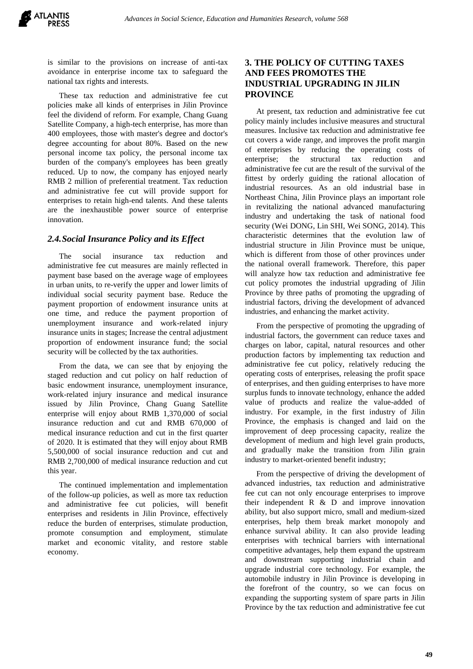is similar to the provisions on increase of anti-tax avoidance in enterprise income tax to safeguard the national tax rights and interests.

These tax reduction and administrative fee cut policies make all kinds of enterprises in Jilin Province feel the dividend of reform. For example, Chang Guang Satellite Company, a high-tech enterprise, has more than 400 employees, those with master's degree and doctor's degree accounting for about 80%. Based on the new personal income tax policy, the personal income tax burden of the company's employees has been greatly reduced. Up to now, the company has enjoyed nearly RMB 2 million of preferential treatment. Tax reduction and administrative fee cut will provide support for enterprises to retain high-end talents. And these talents are the inexhaustible power source of enterprise innovation.

#### *2.4.Social Insurance Policy and its Effect*

The social insurance tax reduction and administrative fee cut measures are mainly reflected in payment base based on the average wage of employees in urban units, to re-verify the upper and lower limits of individual social security payment base. Reduce the payment proportion of endowment insurance units at one time, and reduce the payment proportion of unemployment insurance and work-related injury insurance units in stages; Increase the central adjustment proportion of endowment insurance fund; the social security will be collected by the tax authorities.

From the data, we can see that by enjoying the staged reduction and cut policy on half reduction of basic endowment insurance, unemployment insurance, work-related injury insurance and medical insurance issued by Jilin Province, Chang Guang Satellite enterprise will enjoy about RMB 1,370,000 of social insurance reduction and cut and RMB 670,000 of medical insurance reduction and cut in the first quarter of 2020. It is estimated that they will enjoy about RMB 5,500,000 of social insurance reduction and cut and RMB 2,700,000 of medical insurance reduction and cut this year.

The continued implementation and implementation of the follow-up policies, as well as more tax reduction and administrative fee cut policies, will benefit enterprises and residents in Jilin Province, effectively reduce the burden of enterprises, stimulate production, promote consumption and employment, stimulate market and economic vitality, and restore stable economy.

#### **3. THE POLICY OF CUTTING TAXES AND FEES PROMOTES THE INDUSTRIAL UPGRADING IN JILIN PROVINCE**

At present, tax reduction and administrative fee cut policy mainly includes inclusive measures and structural measures. Inclusive tax reduction and administrative fee cut covers a wide range, and improves the profit margin of enterprises by reducing the operating costs of enterprise; the structural tax reduction and administrative fee cut are the result of the survival of the fittest by orderly guiding the rational allocation of industrial resources. As an old industrial base in Northeast China, Jilin Province plays an important role in revitalizing the national advanced manufacturing industry and undertaking the task of national food security (Wei DONG, Lin SHI, Wei SONG, 2014). This characteristic determines that the evolution law of industrial structure in Jilin Province must be unique, which is different from those of other provinces under the national overall framework. Therefore, this paper will analyze how tax reduction and administrative fee cut policy promotes the industrial upgrading of Jilin Province by three paths of promoting the upgrading of industrial factors, driving the development of advanced industries, and enhancing the market activity.

From the perspective of promoting the upgrading of industrial factors, the government can reduce taxes and charges on labor, capital, natural resources and other production factors by implementing tax reduction and administrative fee cut policy, relatively reducing the operating costs of enterprises, releasing the profit space of enterprises, and then guiding enterprises to have more surplus funds to innovate technology, enhance the added value of products and realize the value-added of industry. For example, in the first industry of Jilin Province, the emphasis is changed and laid on the improvement of deep processing capacity, realize the development of medium and high level grain products, and gradually make the transition from Jilin grain industry to market-oriented benefit industry;

From the perspective of driving the development of advanced industries, tax reduction and administrative fee cut can not only encourage enterprises to improve their independent R & D and improve innovation ability, but also support micro, small and medium-sized enterprises, help them break market monopoly and enhance survival ability. It can also provide leading enterprises with technical barriers with international competitive advantages, help them expand the upstream and downstream supporting industrial chain and upgrade industrial core technology. For example, the automobile industry in Jilin Province is developing in the forefront of the country, so we can focus on expanding the supporting system of spare parts in Jilin Province by the tax reduction and administrative fee cut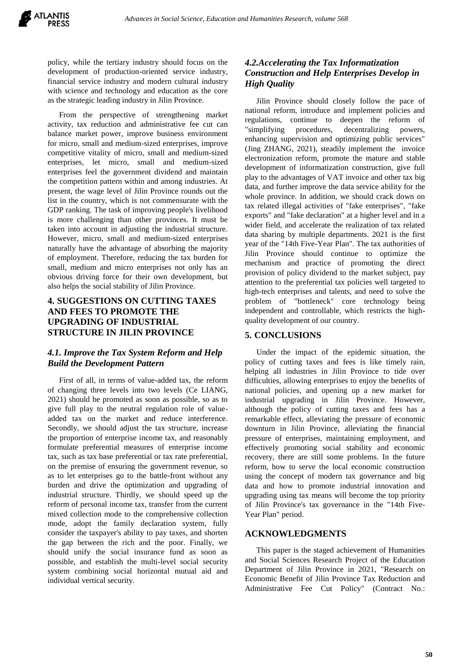policy, while the tertiary industry should focus on the development of production-oriented service industry, financial service industry and modern cultural industry with science and technology and education as the core as the strategic leading industry in Jilin Province.

From the perspective of strengthening market activity, tax reduction and administrative fee cut can balance market power, improve business environment for micro, small and medium-sized enterprises, improve competitive vitality of micro, small and medium-sized enterprises, let micro, small and medium-sized enterprises feel the government dividend and maintain the competition pattern within and among industries. At present, the wage level of Jilin Province rounds out the list in the country, which is not commensurate with the GDP ranking. The task of improving people's livelihood is more challenging than other provinces. It must be taken into account in adjusting the industrial structure. However, micro, small and medium-sized enterprises naturally have the advantage of absorbing the majority of employment. Therefore, reducing the tax burden for small, medium and micro enterprises not only has an obvious driving force for their own development, but also helps the social stability of Jilin Province.

### **4. SUGGESTIONS ON CUTTING TAXES AND FEES TO PROMOTE THE UPGRADING OF INDUSTRIAL STRUCTURE IN JILIN PROVINCE**

#### *4.1. Improve the Tax System Reform and Help Build the Development Pattern*

First of all, in terms of value-added tax, the reform of changing three levels into two levels (Ce LIANG, 2021) should be promoted as soon as possible, so as to give full play to the neutral regulation role of valueadded tax on the market and reduce interference. Secondly, we should adjust the tax structure, increase the proportion of enterprise income tax, and reasonably formulate preferential measures of enterprise income tax, such as tax base preferential or tax rate preferential, on the premise of ensuring the government revenue, so as to let enterprises go to the battle-front without any burden and drive the optimization and upgrading of industrial structure. Thirdly, we should speed up the reform of personal income tax, transfer from the current mixed collection mode to the comprehensive collection mode, adopt the family declaration system, fully consider the taxpayer's ability to pay taxes, and shorten the gap between the rich and the poor. Finally, we should unify the social insurance fund as soon as possible, and establish the multi-level social security system combining social horizontal mutual aid and individual vertical security.

# *4.2.Accelerating the Tax Informatization Construction and Help Enterprises Develop in High Quality*

Jilin Province should closely follow the pace of national reform, introduce and implement policies and regulations, continue to deepen the reform of "simplifying procedures, decentralizing powers, enhancing supervision and optimizing public services" (Jing ZHANG, 2021), steadily implement the invoice electronization reform, promote the mature and stable development of informatization construction, give full play to the advantages of VAT invoice and other tax big data, and further improve the data service ability for the whole province. In addition, we should crack down on tax related illegal activities of "fake enterprises", "fake exports" and "fake declaration" at a higher level and in a wider field, and accelerate the realization of tax related data sharing by multiple departments. 2021 is the first year of the "14th Five-Year Plan". The tax authorities of Jilin Province should continue to optimize the mechanism and practice of promoting the direct provision of policy dividend to the market subject, pay attention to the preferential tax policies well targeted to high-tech enterprises and talents, and need to solve the problem of "bottleneck" core technology being independent and controllable, which restricts the highquality development of our country.

#### **5. CONCLUSIONS**

Under the impact of the epidemic situation, the policy of cutting taxes and fees is like timely rain, helping all industries in Jilin Province to tide over difficulties, allowing enterprises to enjoy the benefits of national policies, and opening up a new market for industrial upgrading in Jilin Province. However, although the policy of cutting taxes and fees has a remarkable effect, alleviating the pressure of economic downturn in Jilin Province, alleviating the financial pressure of enterprises, maintaining employment, and effectively promoting social stability and economic recovery, there are still some problems. In the future reform, how to serve the local economic construction using the concept of modern tax governance and big data and how to promote industrial innovation and upgrading using tax means will become the top priority of Jilin Province's tax governance in the "14th Five-Year Plan" period.

#### **ACKNOWLEDGMENTS**

This paper is the staged achievement of Humanities and Social Sciences Research Project of the Education Department of Jilin Province in 2021, "Research on Economic Benefit of Jilin Province Tax Reduction and Administrative Fee Cut Policy" (Contract No.: